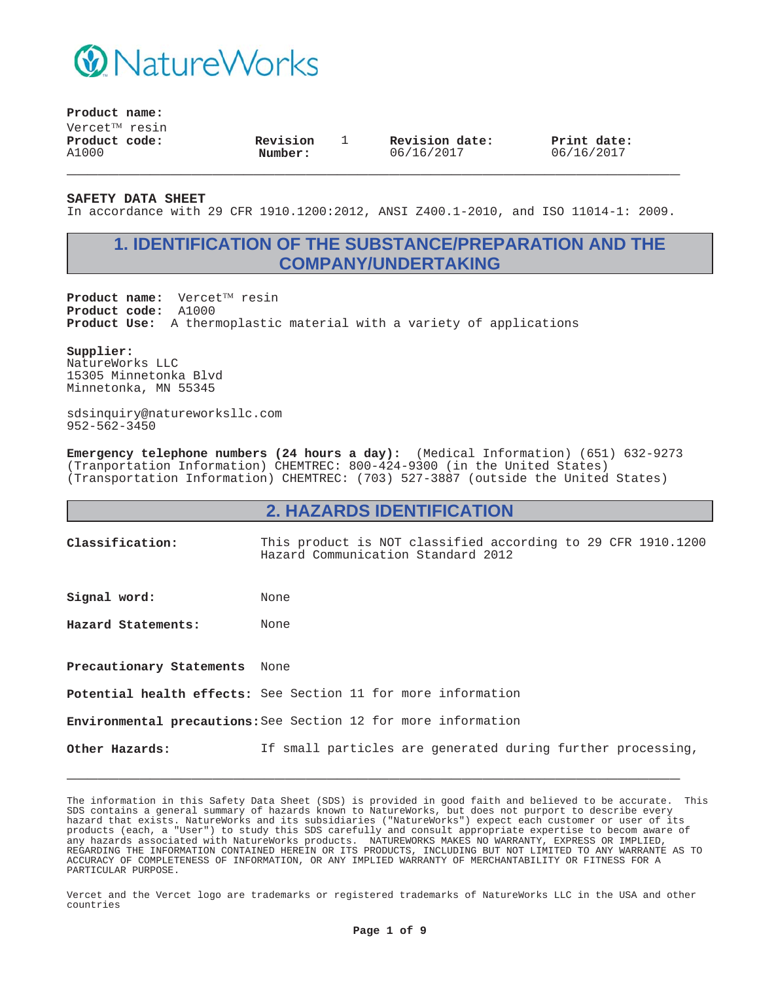

**Product name:**

 $V$ ercet $^{TM}$  resin **Product code:** A1000

**Revision Number:**

1 **Revision date:** 06/16/2017

**Print date:** 06/16/2017

**SAFETY DATA SHEET**

In accordance with 29 CFR 1910.1200:2012, ANSI Z400.1-2010, and ISO 11014-1: 2009.

**\_\_\_\_\_\_\_\_\_\_\_\_\_\_\_\_\_\_\_\_\_\_\_\_\_\_\_\_\_\_\_\_\_\_\_\_\_\_\_\_\_\_\_\_\_\_\_\_\_\_\_\_\_\_\_\_\_\_\_**

## **1. IDENTIFICATION OF THE SUBSTANCE/PREPARATION AND THE COMPANY/UNDERTAKING**

Product name: Vercet<sup>TM</sup> resin **Product code:** A1000 **Product Use:** A thermoplastic material with a variety of applications

**Supplier:**

NatureWorks LLC 15305 Minnetonka Blvd Minnetonka, MN 55345

sdsinquiry@natureworksllc.com 952-562-3450

**Emergency telephone numbers (24 hours a day):** (Medical Information) (651) 632-9273 (Tranportation Information) CHEMTREC: 800-424-9300 (in the United States) (Transportation Information) CHEMTREC: (703) 527-3887 (outside the United States)

#### **2. HAZARDS IDENTIFICATION**

**Classification:** This product is NOT classified according to 29 CFR 1910.1200 Hazard Communication Standard 2012

Signal word: None

**Hazard Statements:** None

**Precautionary Statements** None

**Potential health effects:** See Section 11 for more information

**Environmental precautions:**See Section 12 for more information

**Other Hazards:** If small particles are generated during further processing,

**\_\_\_\_\_\_\_\_\_\_\_\_\_\_\_\_\_\_\_\_\_\_\_\_\_\_\_\_\_\_\_\_\_\_\_\_\_\_\_\_\_\_\_\_\_\_\_\_\_\_\_\_\_\_\_\_\_\_\_**

The information in this Safety Data Sheet (SDS) is provided in good faith and believed to be accurate. This SDS contains a general summary of hazards known to NatureWorks, but does not purport to describe every hazard that exists. NatureWorks and its subsidiaries ("NatureWorks") expect each customer or user of its products (each, a "User") to study this SDS carefully and consult appropriate expertise to becom aware of any hazards associated with NatureWorks products. NATUREWORKS MAKES NO WARRANTY, EXPRESS OR IMPLIED, REGARDING THE INFORMATION CONTAINED HEREIN OR ITS PRODUCTS, INCLUDING BUT NOT LIMITED TO ANY WARRANTE AS TO ACCURACY OF COMPLETENESS OF INFORMATION, OR ANY IMPLIED WARRANTY OF MERCHANTABILITY OR FITNESS FOR A PARTICULAR PURPOSE.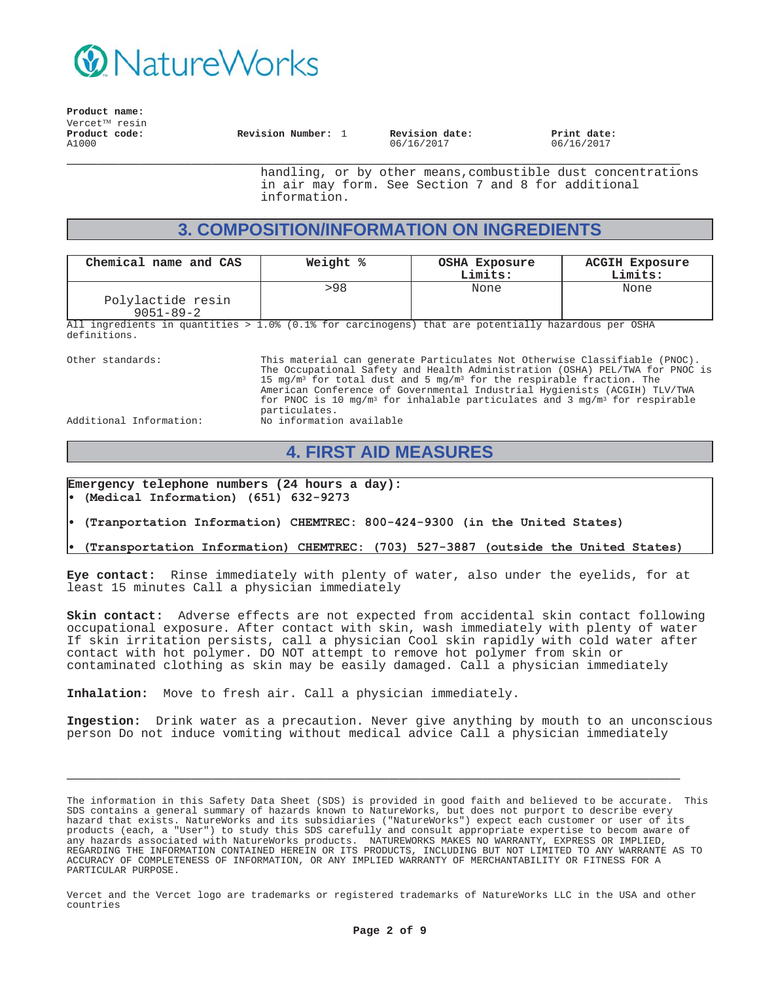

**Product name:** Vercet<sup>TM</sup> resin **\_\_\_\_\_\_\_\_\_\_\_\_\_\_\_\_\_\_\_\_\_\_\_\_\_\_\_\_\_\_\_\_\_\_\_\_\_\_\_\_\_\_\_\_\_\_\_\_\_\_\_\_\_\_\_\_\_\_\_ Product code:** A1000 **Revision Number:** 1 **Revision date:** 06/16/2017

**Print date:** 06/16/2017

handling, or by other means,combustible dust concentrations in air may form. See Section 7 and 8 for additional information.

## **3. COMPOSITION/INFORMATION ON INGREDIENTS**

| Chemical name and CAS                                                                               | Weight % | <b>OSHA Exposure</b><br>Limits: | <b>ACGIH Exposure</b><br>Limits: |
|-----------------------------------------------------------------------------------------------------|----------|---------------------------------|----------------------------------|
|                                                                                                     | >98      | None                            | None                             |
| Polylactide resin                                                                                   |          |                                 |                                  |
| $9051 - 89 - 2$                                                                                     |          |                                 |                                  |
| All ingredients in quantities > 1 0% (0 1% for garginogens) that are notentially hazardous per OSHA |          |                                 |                                  |

1.0% (0.1% for carcinogens) that are potentially hazardous per OSHA definitions.

Other standards: This material can generate Particulates Not Otherwise Classifiable (PNOC). The Occupational Safety and Health Administration (OSHA) PEL/TWA for PNOC is 15 mg/m<sup>3</sup> for total dust and 5 mg/m<sup>3</sup> for the respirable fraction. The American Conference of Governmental Industrial Hygienists (ACGIH) TLV/TWA for PNOC is 10 mg/m<sup>3</sup> for inhalable particulates and 3 mg/m<sup>3</sup> for respirable particulates.

Additional Information: No information available

### **4. FIRST AID MEASURES**

**Emergency telephone numbers (24 hours a day):** (Medical Information) (651) 632-9273

(Tranportation Information) CHEMTREC: 800-424-9300 (in the United States)

(Transportation Information) CHEMTREC: (703) 527-3887 (outside the United States)

**Eye contact:** Rinse immediately with plenty of water, also under the eyelids, for at least 15 minutes Call a physician immediately

**Skin contact:** Adverse effects are not expected from accidental skin contact following occupational exposure. After contact with skin, wash immediately with plenty of water If skin irritation persists, call a physician Cool skin rapidly with cold water after contact with hot polymer. DO NOT attempt to remove hot polymer from skin or contaminated clothing as skin may be easily damaged. Call a physician immediately

**Inhalation:** Move to fresh air. Call a physician immediately.

**Ingestion:** Drink water as a precaution. Never give anything by mouth to an unconscious person Do not induce vomiting without medical advice Call a physician immediately

**\_\_\_\_\_\_\_\_\_\_\_\_\_\_\_\_\_\_\_\_\_\_\_\_\_\_\_\_\_\_\_\_\_\_\_\_\_\_\_\_\_\_\_\_\_\_\_\_\_\_\_\_\_\_\_\_\_\_\_**

The information in this Safety Data Sheet (SDS) is provided in good faith and believed to be accurate. This SDS contains a general summary of hazards known to NatureWorks, but does not purport to describe every hazard that exists. NatureWorks and its subsidiaries ("NatureWorks") expect each customer or user of its products (each, a "User") to study this SDS carefully and consult appropriate expertise to becom aware of any hazards associated with NatureWorks products. NATUREWORKS MAKES NO WARRANTY, EXPRESS OR IMPLIED, REGARDING THE INFORMATION CONTAINED HEREIN OR ITS PRODUCTS, INCLUDING BUT NOT LIMITED TO ANY WARRANTE AS TO ACCURACY OF COMPLETENESS OF INFORMATION, OR ANY IMPLIED WARRANTY OF MERCHANTABILITY OR FITNESS FOR A PARTICULAR PURPOSE.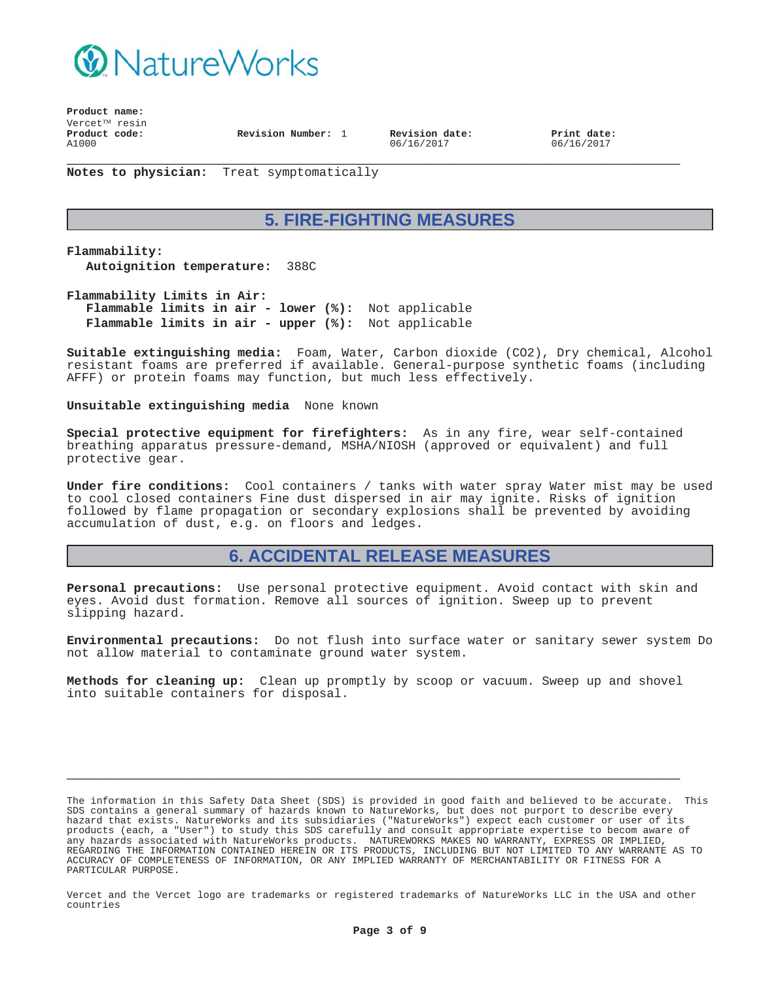

**Product name:**  $V$ ercet $T^M$  resin **\_\_\_\_\_\_\_\_\_\_\_\_\_\_\_\_\_\_\_\_\_\_\_\_\_\_\_\_\_\_\_\_\_\_\_\_\_\_\_\_\_\_\_\_\_\_\_\_\_\_\_\_\_\_\_\_\_\_\_ Product code:** A1000 **Revision Number:** 1 **Revision date:**

06/16/2017

**Print date:** 06/16/2017

**Notes to physician:** Treat symptomatically

# **5. FIRE-FIGHTING MEASURES**

**Flammability: Autoignition temperature:** 388C

**Flammability Limits in Air: Flammable limits in air - lower (%):** Not applicable **Flammable limits in air - upper (%):** Not applicable

**Suitable extinguishing media:** Foam, Water, Carbon dioxide (CO2), Dry chemical, Alcohol resistant foams are preferred if available. General-purpose synthetic foams (including AFFF) or protein foams may function, but much less effectively.

**Unsuitable extinguishing media** None known

**Special protective equipment for firefighters:** As in any fire, wear self-contained breathing apparatus pressure-demand, MSHA/NIOSH (approved or equivalent) and full protective gear.

**Under fire conditions:** Cool containers / tanks with water spray Water mist may be used to cool closed containers Fine dust dispersed in air may ignite. Risks of ignition followed by flame propagation or secondary explosions shall be prevented by avoiding accumulation of dust, e.g. on floors and ledges.

### **6. ACCIDENTAL RELEASE MEASURES**

**Personal precautions:** Use personal protective equipment. Avoid contact with skin and eyes. Avoid dust formation. Remove all sources of ignition. Sweep up to prevent slipping hazard.

**Environmental precautions:** Do not flush into surface water or sanitary sewer system Do not allow material to contaminate ground water system.

**Methods for cleaning up:** Clean up promptly by scoop or vacuum. Sweep up and shovel into suitable containers for disposal.

**\_\_\_\_\_\_\_\_\_\_\_\_\_\_\_\_\_\_\_\_\_\_\_\_\_\_\_\_\_\_\_\_\_\_\_\_\_\_\_\_\_\_\_\_\_\_\_\_\_\_\_\_\_\_\_\_\_\_\_**

The information in this Safety Data Sheet (SDS) is provided in good faith and believed to be accurate. This SDS contains a general summary of hazards known to NatureWorks, but does not purport to describe every hazard that exists. NatureWorks and its subsidiaries ("NatureWorks") expect each customer or user of its products (each, a "User") to study this SDS carefully and consult appropriate expertise to becom aware of any hazards associated with NatureWorks products. NATUREWORKS MAKES NO WARRANTY, EXPRESS OR IMPLIED, REGARDING THE INFORMATION CONTAINED HEREIN OR ITS PRODUCTS, INCLUDING BUT NOT LIMITED TO ANY WARRANTE AS TO ACCURACY OF COMPLETENESS OF INFORMATION, OR ANY IMPLIED WARRANTY OF MERCHANTABILITY OR FITNESS FOR A PARTICULAR PURPOSE.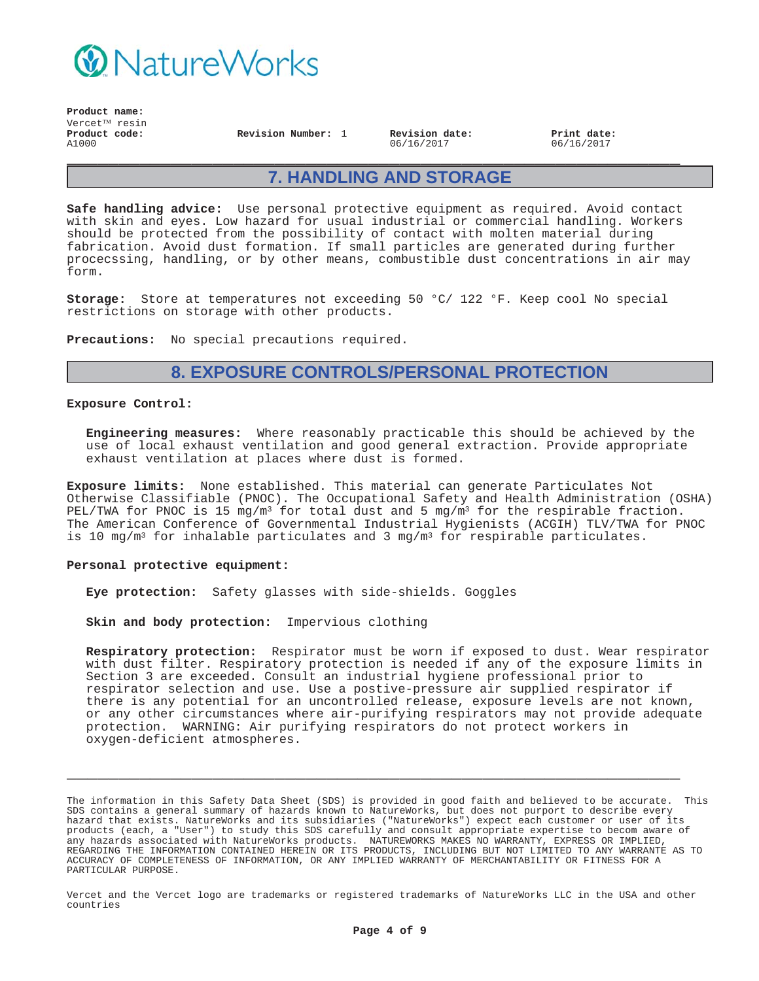

**Product name:**  $V$ ercet $T^M$  resin **Product code:** A1000

**Revision Number:** 1 **Revision date:** 06/16/2017

**Print date:** 06/16/2017

## **7. HANDLING AND STORAGE**

**\_\_\_\_\_\_\_\_\_\_\_\_\_\_\_\_\_\_\_\_\_\_\_\_\_\_\_\_\_\_\_\_\_\_\_\_\_\_\_\_\_\_\_\_\_\_\_\_\_\_\_\_\_\_\_\_\_\_\_**

**Safe handling advice:** Use personal protective equipment as required. Avoid contact with skin and eyes. Low hazard for usual industrial or commercial handling. Workers should be protected from the possibility of contact with molten material during fabrication. Avoid dust formation. If small particles are generated during further procecssing, handling, or by other means, combustible dust concentrations in air may form.

**Storage:** Store at temperatures not exceeding 50 °C/ 122 °F. Keep cool No special restrictions on storage with other products.

**Precautions:** No special precautions required.

## **8. EXPOSURE CONTROLS/PERSONAL PROTECTION**

#### **Exposure Control:**

**Engineering measures:** Where reasonably practicable this should be achieved by the use of local exhaust ventilation and good general extraction. Provide appropriate exhaust ventilation at places where dust is formed.

**Exposure limits:** None established. This material can generate Particulates Not Otherwise Classifiable (PNOC). The Occupational Safety and Health Administration (OSHA) PEL/TWA for PNOC is 15 mg/m<sup>3</sup> for total dust and 5 mg/m<sup>3</sup> for the respirable fraction. The American Conference of Governmental Industrial Hygienists (ACGIH) TLV/TWA for PNOC is 10 mg/m<sup>3</sup> for inhalable particulates and 3 mg/m<sup>3</sup> for respirable particulates.

#### **Personal protective equipment:**

**Eye protection:** Safety glasses with side-shields. Goggles

**Skin and body protection:** Impervious clothing

**Respiratory protection:** Respirator must be worn if exposed to dust. Wear respirator with dust filter. Respiratory protection is needed if any of the exposure limits in Section 3 are exceeded. Consult an industrial hygiene professional prior to respirator selection and use. Use a postive-pressure air supplied respirator if there is any potential for an uncontrolled release, exposure levels are not known, or any other circumstances where air-purifying respirators may not provide adequate protection. WARNING: Air purifying respirators do not protect workers in oxygen-deficient atmospheres.

The information in this Safety Data Sheet (SDS) is provided in good faith and believed to be accurate. This SDS contains a general summary of hazards known to NatureWorks, but does not purport to describe every hazard that exists. NatureWorks and its subsidiaries ("NatureWorks") expect each customer or user of its products (each, a "User") to study this SDS carefully and consult appropriate expertise to becom aware of any hazards associated with NatureWorks products. NATUREWORKS MAKES NO WARRANTY, EXPRESS OR IMPLIED, REGARDING THE INFORMATION CONTAINED HEREIN OR ITS PRODUCTS, INCLUDING BUT NOT LIMITED TO ANY WARRANTE AS TO ACCURACY OF COMPLETENESS OF INFORMATION, OR ANY IMPLIED WARRANTY OF MERCHANTABILITY OR FITNESS FOR A PARTICULAR PURPOSE.

**\_\_\_\_\_\_\_\_\_\_\_\_\_\_\_\_\_\_\_\_\_\_\_\_\_\_\_\_\_\_\_\_\_\_\_\_\_\_\_\_\_\_\_\_\_\_\_\_\_\_\_\_\_\_\_\_\_\_\_**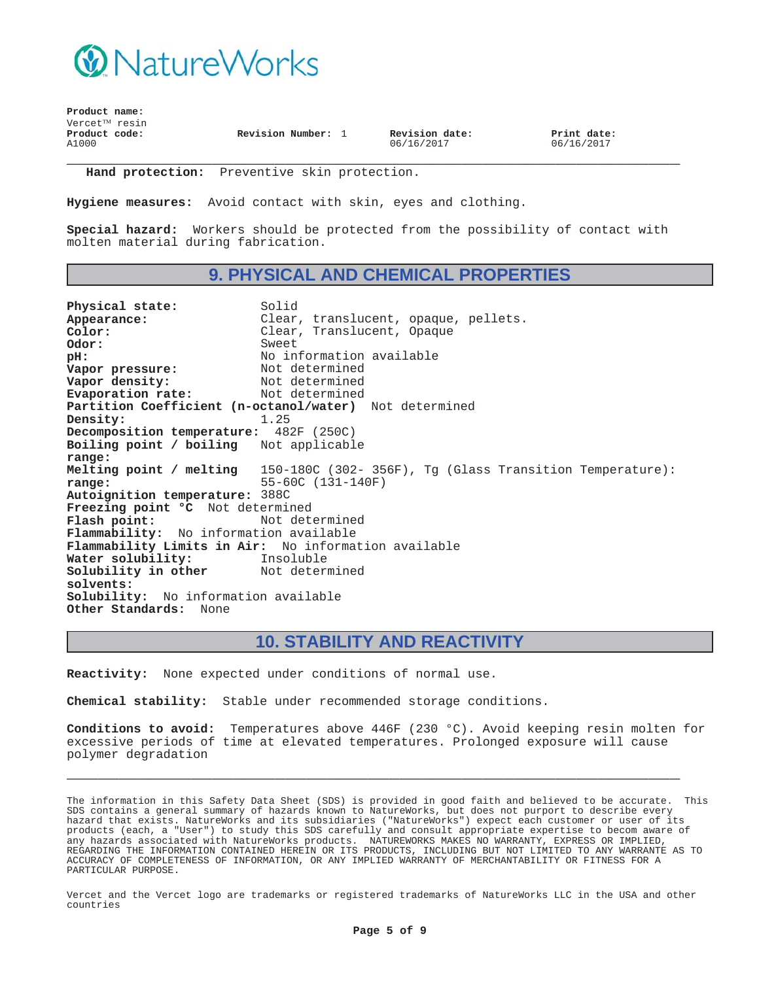

| Product name:              |                    |                              |                           |
|----------------------------|--------------------|------------------------------|---------------------------|
| Vercet <sup>TM</sup> resin |                    |                              |                           |
| Product code:<br>A1000     | Revision Number: 1 | Revision date:<br>06/16/2017 | Print date:<br>06/16/2017 |
|                            |                    |                              |                           |

**Hand protection:** Preventive skin protection.

**Hygiene measures:** Avoid contact with skin, eyes and clothing.

**Special hazard:** Workers should be protected from the possibility of contact with molten material during fabrication.

### **9. PHYSICAL AND CHEMICAL PROPERTIES**

Physical state: Solid Appearance: Clear, translucent, opaque, pellets.<br>
Color: Clear, Translucent, Opaque **Color:** Clear, Translucent, Opaque **Odor:** Sweet<br> **DH:** No in No information available<br>Not determined **Vapor pressure:**<br>Vapor density: Not determined<br>Not determined **Evaporation rate: Partition Coefficient (n-octanol/water)** Not determined **Density:** 1.25 **Decomposition temperature:** 482F (250C) **Boiling point / boiling range:** Not applicable **Melting point / melting range:** 150-180C (302- 356F), Tg (Glass Transition Temperature): 55-60C (131-140F) **Autoignition temperature:** 388C **Freezing point °C** Not determined Flash point: Not determined **Flammability:** No information available **Flammability Limits in Air:** No information available **Water solubility:** Insoluble **Solubility in other solvents:** Not determined **Solubility:** No information available **Other Standards:** None

#### **10. STABILITY AND REACTIVITY**

**Reactivity:** None expected under conditions of normal use.

**Chemical stability:** Stable under recommended storage conditions.

**Conditions to avoid:** Temperatures above 446F (230 °C). Avoid keeping resin molten for excessive periods of time at elevated temperatures. Prolonged exposure will cause polymer degradation

**\_\_\_\_\_\_\_\_\_\_\_\_\_\_\_\_\_\_\_\_\_\_\_\_\_\_\_\_\_\_\_\_\_\_\_\_\_\_\_\_\_\_\_\_\_\_\_\_\_\_\_\_\_\_\_\_\_\_\_**

The information in this Safety Data Sheet (SDS) is provided in good faith and believed to be accurate. This SDS contains a general summary of hazards known to NatureWorks, but does not purport to describe every hazard that exists. NatureWorks and its subsidiaries ("NatureWorks") expect each customer or user of its products (each, a "User") to study this SDS carefully and consult appropriate expertise to becom aware of any hazards associated with NatureWorks products. NATUREWORKS MAKES NO WARRANTY, EXPRESS OR IMPLIED, REGARDING THE INFORMATION CONTAINED HEREIN OR ITS PRODUCTS, INCLUDING BUT NOT LIMITED TO ANY WARRANTE AS TO ACCURACY OF COMPLETENESS OF INFORMATION, OR ANY IMPLIED WARRANTY OF MERCHANTABILITY OR FITNESS FOR A PARTICULAR PURPOSE.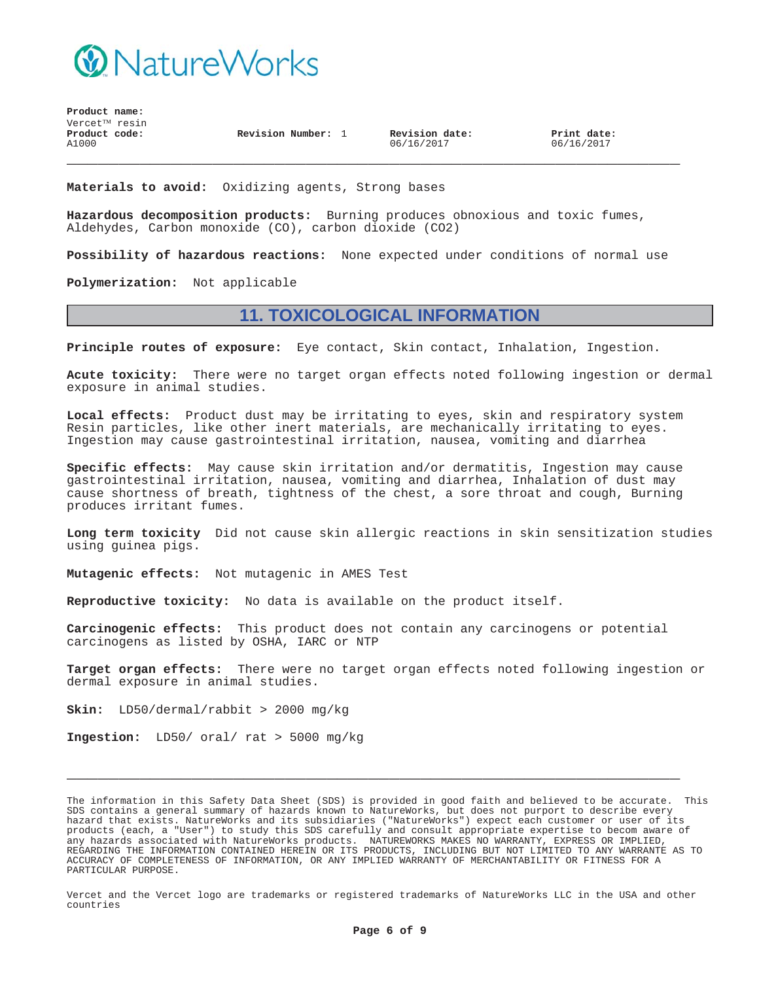

**Product name:** Vercet<sup>™</sup> resin **Product code:** A1000

**Revision Number:** 1 **Revision date:**

06/16/2017

**Print date:** 06/16/2017

**Materials to avoid:** Oxidizing agents, Strong bases

**Hazardous decomposition products:** Burning produces obnoxious and toxic fumes, Aldehydes, Carbon monoxide (CO), carbon dioxide (CO2)

**Possibility of hazardous reactions:** None expected under conditions of normal use

**\_\_\_\_\_\_\_\_\_\_\_\_\_\_\_\_\_\_\_\_\_\_\_\_\_\_\_\_\_\_\_\_\_\_\_\_\_\_\_\_\_\_\_\_\_\_\_\_\_\_\_\_\_\_\_\_\_\_\_**

**Polymerization:** Not applicable

### **11. TOXICOLOGICAL INFORMATION**

**Principle routes of exposure:** Eye contact, Skin contact, Inhalation, Ingestion.

**Acute toxicity:** There were no target organ effects noted following ingestion or dermal exposure in animal studies.

**Local effects:** Product dust may be irritating to eyes, skin and respiratory system Resin particles, like other inert materials, are mechanically irritating to eyes. Ingestion may cause gastrointestinal irritation, nausea, vomiting and diarrhea

**Specific effects:** May cause skin irritation and/or dermatitis, Ingestion may cause gastrointestinal irritation, nausea, vomiting and diarrhea, Inhalation of dust may cause shortness of breath, tightness of the chest, a sore throat and cough, Burning produces irritant fumes.

**Long term toxicity** Did not cause skin allergic reactions in skin sensitization studies using guinea pigs.

**Mutagenic effects:** Not mutagenic in AMES Test

**Reproductive toxicity:** No data is available on the product itself.

**Carcinogenic effects:** This product does not contain any carcinogens or potential carcinogens as listed by OSHA, IARC or NTP

**Target organ effects:** There were no target organ effects noted following ingestion or dermal exposure in animal studies.

**Skin:** LD50/dermal/rabbit > 2000 mg/kg

**Ingestion:** LD50/ oral/ rat > 5000 mg/kg

The information in this Safety Data Sheet (SDS) is provided in good faith and believed to be accurate. This SDS contains a general summary of hazards known to NatureWorks, but does not purport to describe every hazard that exists. NatureWorks and its subsidiaries ("NatureWorks") expect each customer or user of its products (each, a "User") to study this SDS carefully and consult appropriate expertise to becom aware of any hazards associated with NatureWorks products. NATUREWORKS MAKES NO WARRANTY, EXPRESS OR IMPLIED, REGARDING THE INFORMATION CONTAINED HEREIN OR ITS PRODUCTS, INCLUDING BUT NOT LIMITED TO ANY WARRANTE AS TO ACCURACY OF COMPLETENESS OF INFORMATION, OR ANY IMPLIED WARRANTY OF MERCHANTABILITY OR FITNESS FOR A PARTICULAR PURPOSE.

**\_\_\_\_\_\_\_\_\_\_\_\_\_\_\_\_\_\_\_\_\_\_\_\_\_\_\_\_\_\_\_\_\_\_\_\_\_\_\_\_\_\_\_\_\_\_\_\_\_\_\_\_\_\_\_\_\_\_\_**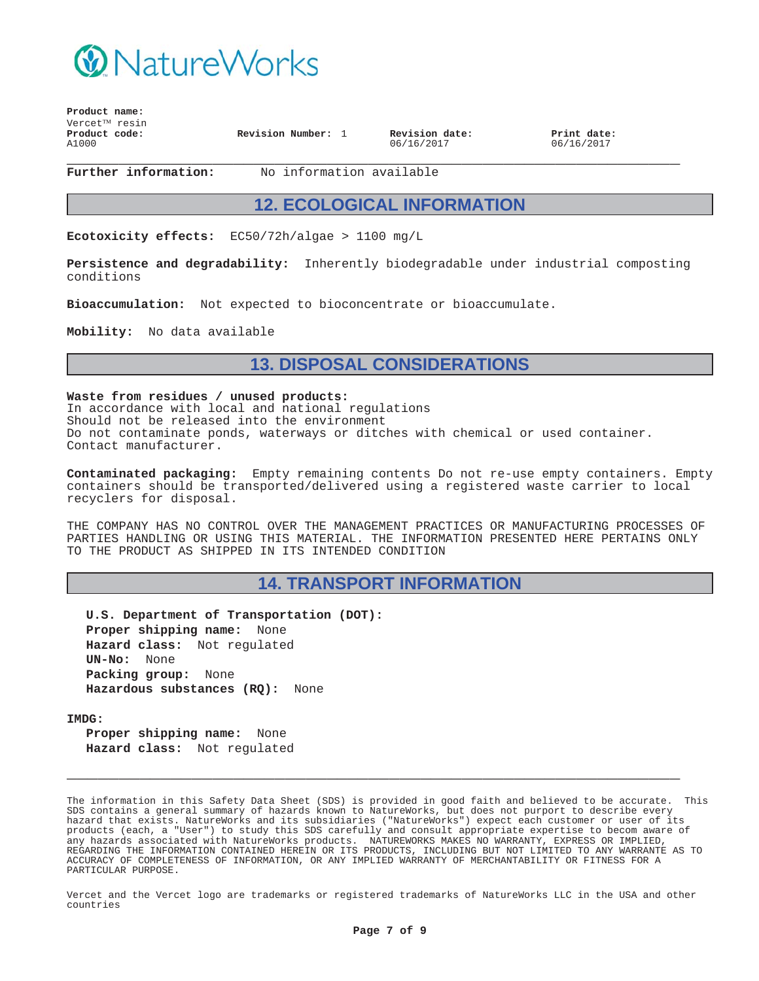

| $V$ ercet $^{TM}$ resin<br>Product code:<br>A1000 | Revision Number: 1 | Revision date:<br>06/16/2017 | Print date:<br>06/16/2017 |  |
|---------------------------------------------------|--------------------|------------------------------|---------------------------|--|
|---------------------------------------------------|--------------------|------------------------------|---------------------------|--|

**Product name:**

**Further information:** No information available

#### **12. ECOLOGICAL INFORMATION**

**Ecotoxicity effects:** EC50/72h/algae > 1100 mg/L

**Persistence and degradability:** Inherently biodegradable under industrial composting conditions

**Bioaccumulation:** Not expected to bioconcentrate or bioaccumulate.

**Mobility:** No data available

#### **13. DISPOSAL CONSIDERATIONS**

**Waste from residues / unused products:** In accordance with local and national regulations Should not be released into the environment Do not contaminate ponds, waterways or ditches with chemical or used container. Contact manufacturer.

**Contaminated packaging:** Empty remaining contents Do not re-use empty containers. Empty containers should be transported/delivered using a registered waste carrier to local recyclers for disposal.

THE COMPANY HAS NO CONTROL OVER THE MANAGEMENT PRACTICES OR MANUFACTURING PROCESSES OF PARTIES HANDLING OR USING THIS MATERIAL. THE INFORMATION PRESENTED HERE PERTAINS ONLY TO THE PRODUCT AS SHIPPED IN ITS INTENDED CONDITION

### **14. TRANSPORT INFORMATION**

**U.S. Department of Transportation (DOT): Proper shipping name:** None **Hazard class:** Not regulated **UN-No:** None **Packing group:** None **Hazardous substances (RQ):** None

**IMDG:**

**Proper shipping name:** None **Hazard class:** Not regulated

The information in this Safety Data Sheet (SDS) is provided in good faith and believed to be accurate. This SDS contains a general summary of hazards known to NatureWorks, but does not purport to describe every hazard that exists. NatureWorks and its subsidiaries ("NatureWorks") expect each customer or user of its products (each, a "User") to study this SDS carefully and consult appropriate expertise to becom aware of any hazards associated with NatureWorks products. NATUREWORKS MAKES NO WARRANTY, EXPRESS OR IMPLIED, REGARDING THE INFORMATION CONTAINED HEREIN OR ITS PRODUCTS, INCLUDING BUT NOT LIMITED TO ANY WARRANTE AS TO ACCURACY OF COMPLETENESS OF INFORMATION, OR ANY IMPLIED WARRANTY OF MERCHANTABILITY OR FITNESS FOR A PARTICULAR PURPOSE.

**\_\_\_\_\_\_\_\_\_\_\_\_\_\_\_\_\_\_\_\_\_\_\_\_\_\_\_\_\_\_\_\_\_\_\_\_\_\_\_\_\_\_\_\_\_\_\_\_\_\_\_\_\_\_\_\_\_\_\_**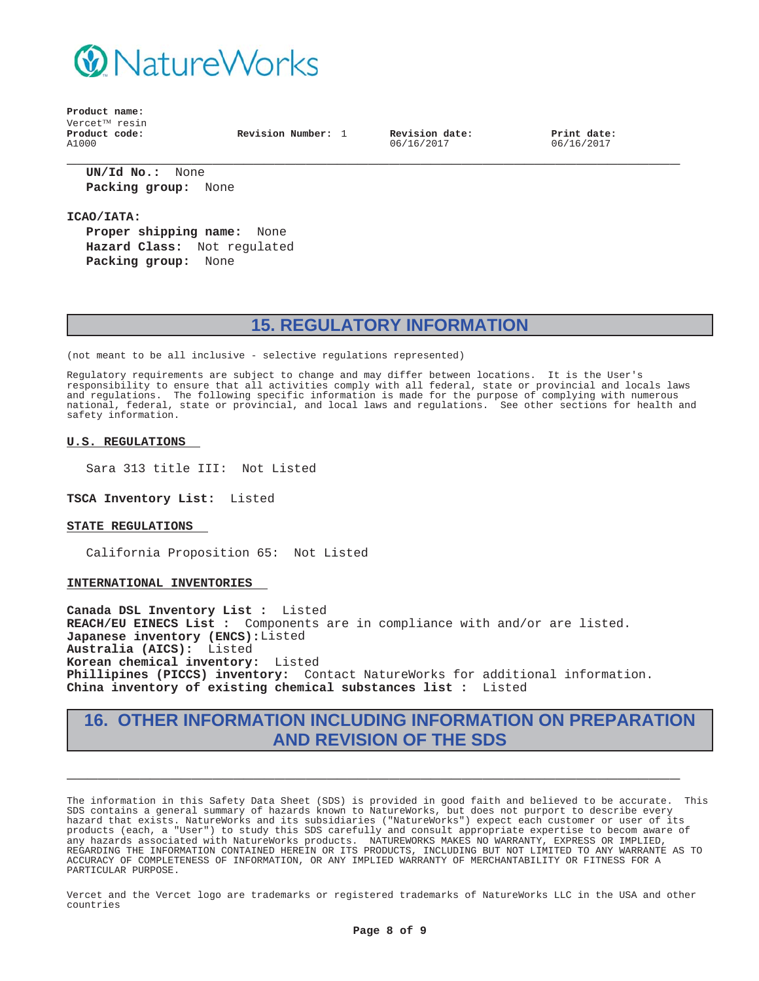

**Product name:** Vercet<sup>™</sup> resin **Product code:** A1000

**Revision Number:** 1 **Revision date:**

06/16/2017

**Print date:** 06/16/2017

**\_\_\_\_\_\_\_\_\_\_\_\_\_\_\_\_\_\_\_\_\_\_\_\_\_\_\_\_\_\_\_\_\_\_\_\_\_\_\_\_\_\_\_\_\_\_\_\_\_\_\_\_\_\_\_\_\_\_\_ UN/Id No.:** None **Packing group:** None

**ICAO/IATA:**

**Proper shipping name:** None **Hazard Class:** Not regulated **Packing group:** None

## **15. REGULATORY INFORMATION**

(not meant to be all inclusive - selective regulations represented)

Regulatory requirements are subject to change and may differ between locations. It is the User's responsibility to ensure that all activities comply with all federal, state or provincial and locals laws and regulations. The following specific information is made for the purpose of complying with numerous national, federal, state or provincial, and local laws and regulations. See other sections for health and safety information.

#### **U.S. REGULATIONS**

Sara 313 title III: Not Listed

**TSCA Inventory List:** Listed

#### **STATE REGULATIONS**

California Proposition 65: Not Listed

#### **INTERNATIONAL INVENTORIES**

**Canada DSL Inventory List :** Listed **REACH/EU EINECS List :** Components are in compliance with and/or are listed. **Japanese inventory (ENCS):**Listed **Australia (AICS):** Listed **Korean chemical inventory:** Listed **Phillipines (PICCS) inventory:** Contact NatureWorks for additional information. **China inventory of existing chemical substances list :** Listed

### **16. OTHER INFORMATION INCLUDING INFORMATION ON PREPARATION AND REVISION OF THE SDS**

**\_\_\_\_\_\_\_\_\_\_\_\_\_\_\_\_\_\_\_\_\_\_\_\_\_\_\_\_\_\_\_\_\_\_\_\_\_\_\_\_\_\_\_\_\_\_\_\_\_\_\_\_\_\_\_\_\_\_\_**

The information in this Safety Data Sheet (SDS) is provided in good faith and believed to be accurate. This SDS contains a general summary of hazards known to NatureWorks, but does not purport to describe every hazard that exists. NatureWorks and its subsidiaries ("NatureWorks") expect each customer or user of its products (each, a "User") to study this SDS carefully and consult appropriate expertise to becom aware of any hazards associated with NatureWorks products. NATUREWORKS MAKES NO WARRANTY, EXPRESS OR IMPLIED, REGARDING THE INFORMATION CONTAINED HEREIN OR ITS PRODUCTS, INCLUDING BUT NOT LIMITED TO ANY WARRANTE AS TO ACCURACY OF COMPLETENESS OF INFORMATION, OR ANY IMPLIED WARRANTY OF MERCHANTABILITY OR FITNESS FOR A PARTICULAR PURPOSE.